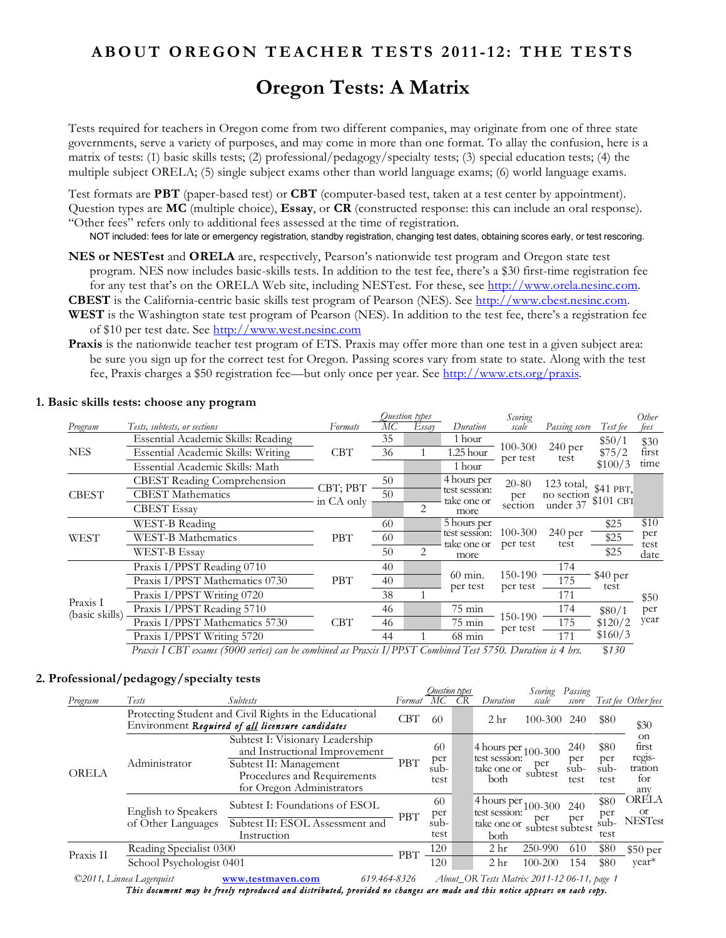## **ABOUT OREGON TEACHER TESTS 2011-12: THE TESTS**

# **Oregon Tests: A Matrix**

Tests required for teachers in Oregon come from two different companies, may originate from one of three state governments, serve a variety of purposes, and may come in more than one format. To allay the confusion, here is a matrix of tests: (1) basic skills tests; (2) professional/pedagogy/specialty tests; (3) special education tests; (4) the multiple subject ORELA; (5) single subject exams other than world language exams; (6) world language exams.

Test formats are **PBT** (paper-based test) or **CBT** (computer-based test, taken at a test center by appointment). Question types are **MC** (multiple choice), **Essay**, or **CR** (constructed response: this can include an oral response). "Other fees" refers only to additional fees assessed at the time of registration.

NOT included: fees for late or emergency registration, standby registration, changing test dates, obtaining scores early, or test rescoring.

**NES or NESTest** and **ORELA** are, respectively, Pearson's nationwide test program and Oregon state test program. NES now includes basic-skills tests. In addition to the test fee, there's a \$30 first-time registration fee for any test that's on the ORELA Web site, including NESTest. For these, see http://www.orela.nesinc.com. **CBEST** is the California-centric basic skills test program of Pearson (NES). See http://www.cbest.nesinc.com.

- **WEST** is the Washington state test program of Pearson (NES). In addition to the test fee, there's a registration fee of \$10 per test date. See http://www.west.nesinc.com
- **Praxis** is the nationwide teacher test program of ETS. Praxis may offer more than one test in a given subject area: be sure you sign up for the correct test for Oregon. Passing scores vary from state to state. Along with the test fee, Praxis charges a \$50 registration fee—but only once per year. See http://www.ets.org/praxis.

|                                                                                                                                                                                |                                    |            |    | Ouestion types                                                                                                                                                                                                                                                                                                                                                 |             | Scoring   |               |                                                                                     | Other |
|--------------------------------------------------------------------------------------------------------------------------------------------------------------------------------|------------------------------------|------------|----|----------------------------------------------------------------------------------------------------------------------------------------------------------------------------------------------------------------------------------------------------------------------------------------------------------------------------------------------------------------|-------------|-----------|---------------|-------------------------------------------------------------------------------------|-------|
| <b>Program</b>                                                                                                                                                                 | Tests, subtests, or sections       | Formats    | МC | Essay                                                                                                                                                                                                                                                                                                                                                          | Duration    | scale     | Passing score | Test fee                                                                            | tees  |
|                                                                                                                                                                                | Essential Academic Skills: Reading |            | 35 |                                                                                                                                                                                                                                                                                                                                                                | 1 hour      |           |               | \$50/1                                                                              | \$30  |
| <b>NES</b>                                                                                                                                                                     | Essential Academic Skills: Writing | <b>CBT</b> | 36 |                                                                                                                                                                                                                                                                                                                                                                | $1.25$ hour |           |               | \$75/2                                                                              | first |
|                                                                                                                                                                                | Essential Academic Skills: Math    |            |    |                                                                                                                                                                                                                                                                                                                                                                | 1 hour      |           |               | \$100/3<br>\$25<br>\$25<br>\$25<br>\$40 per<br>test<br>\$80/1<br>\$120/2<br>\$160/3 | time  |
|                                                                                                                                                                                | <b>CBEST</b> Reading Comprehension |            | 50 |                                                                                                                                                                                                                                                                                                                                                                | 4 hours per | $20 - 80$ |               |                                                                                     |       |
| <b>CBEST</b>                                                                                                                                                                   | <b>CBEST</b> Mathematics           |            | 50 |                                                                                                                                                                                                                                                                                                                                                                |             | per       |               |                                                                                     |       |
|                                                                                                                                                                                | <b>CBEST Essay</b>                 |            |    | 2                                                                                                                                                                                                                                                                                                                                                              | more        | section   |               |                                                                                     |       |
|                                                                                                                                                                                | WEST-B Reading                     |            | 60 |                                                                                                                                                                                                                                                                                                                                                                | 5 hours per |           |               |                                                                                     | \$10  |
| <b>WEST</b>                                                                                                                                                                    | <b>WEST-B Mathematics</b>          | <b>PBT</b> | 60 |                                                                                                                                                                                                                                                                                                                                                                |             |           |               |                                                                                     |       |
|                                                                                                                                                                                | WEST-B Essay                       |            | 50 | 2                                                                                                                                                                                                                                                                                                                                                              | more        |           |               |                                                                                     | date  |
|                                                                                                                                                                                | Praxis I/PPST Reading 0710         |            | 40 |                                                                                                                                                                                                                                                                                                                                                                |             |           | 174           | \$41 PBT,<br>\$101 CBT                                                              |       |
|                                                                                                                                                                                | Praxis I/PPST Mathematics 0730     | <b>PBT</b> | 40 |                                                                                                                                                                                                                                                                                                                                                                |             |           | 175           |                                                                                     |       |
|                                                                                                                                                                                | Praxis I/PPST Writing 0720         |            | 38 | 100-300<br>240 per<br>per test<br>test<br>123 total,<br>test session:<br>no section<br>take one or<br>under 37<br>100-300<br>240 per<br>test session:<br>per<br>take one or<br>per test<br>test<br>test<br>150-190<br>$60 \text{ min.}$<br>per test<br>per test<br>171<br>\$50<br>$75 \text{ min}$<br>174<br>per<br>150-190<br>year<br>$75 \text{ min}$<br>175 |             |           |               |                                                                                     |       |
|                                                                                                                                                                                | Praxis I/PPST Reading 5710         |            | 46 |                                                                                                                                                                                                                                                                                                                                                                |             |           |               |                                                                                     |       |
| CBT; PBT<br>in CA only<br>Praxis I<br>(basic skills)<br>Praxis I/PPST Mathematics 5730<br><b>CBT</b><br>46<br>per test<br>Praxis I/PPST Writing 5720<br>44<br>$68 \text{ min}$ |                                    |            |    |                                                                                                                                                                                                                                                                                                                                                                |             |           |               |                                                                                     |       |
|                                                                                                                                                                                |                                    |            |    |                                                                                                                                                                                                                                                                                                                                                                |             |           | 171           |                                                                                     |       |

#### **1. Basic skills tests: choose any program**

*Praxis I CBT exams (5000 series) can be combined as Praxis I/PPST Combined Test 5750. Duration is 4 hrs.* \$*130*

#### **2. Professional/pedagogy/specialty tests**

|              |                                                                                                            |                                                                                                                                                        |            | Ouestion types            |                                                                                                      | Scoring            | Passing                                                 |                                      |                                                |
|--------------|------------------------------------------------------------------------------------------------------------|--------------------------------------------------------------------------------------------------------------------------------------------------------|------------|---------------------------|------------------------------------------------------------------------------------------------------|--------------------|---------------------------------------------------------|--------------------------------------|------------------------------------------------|
| Program      | Tests                                                                                                      | <i>Subtests</i>                                                                                                                                        | Format     | МC                        | Duration                                                                                             | scale              | score                                                   |                                      | Test fee Other fees                            |
|              | Protecting Student and Civil Rights in the Educational<br>Environment Required of all licensure candidates |                                                                                                                                                        | <b>CBT</b> | 60                        | 2 <sub>hr</sub>                                                                                      | $100 - 300$        | 240                                                     | \$80                                 | \$30                                           |
| <b>ORELA</b> | Administrator                                                                                              | Subtest I: Visionary Leadership<br>and Instructional Improvement<br>Subtest II: Management<br>Procedures and Requirements<br>for Oregon Administrators | PBT        | 60<br>per<br>sub-<br>test | $\sqrt{4}$ hours per $100-300$<br>test session:<br>take one or<br>both                               | per<br>subtest     | 240<br>per<br>sub-<br>test                              | \$80<br>per<br>sub-<br>test          | on<br>first<br>regis-<br>tration<br>for<br>any |
|              | <b>English to Speakers</b><br>of Other Languages                                                           | Subtest I: Foundations of ESOL<br>Subtest II: ESOL Assessment and<br>Instruction                                                                       | <b>PBT</b> | 60<br>per<br>sub-<br>test | $\sqrt{4 \text{ hours}} \text{ per}$ 100-300<br>test session:<br>take one or subtest subtest<br>both |                    | \$80<br>240<br>per<br>$\sin b -$<br>test<br>\$80<br>610 | <b>ORELA</b><br>0r<br><b>NESTest</b> |                                                |
| Praxis II    | Reading Specialist 0300<br>School Psychologist 0401                                                        |                                                                                                                                                        | PBT        | 120<br>120                | 2 <sub>hr</sub><br>2 <sub>hr</sub>                                                                   | 250-990<br>100-200 | 154                                                     | \$80                                 | $$50~\mathrm{per}$<br>year <sup>*</sup>        |
|              |                                                                                                            |                                                                                                                                                        |            |                           | and some company                                                                                     |                    |                                                         |                                      |                                                |

*©2011, Linnea Lagerquist* **www.testmaven.com** *619.464-8326 About\_OR Tests Matrix 2011-12 06-11, page 1 This document may be freely reproduced and distributed, provided no changes are made and this notice appears on each copy.*